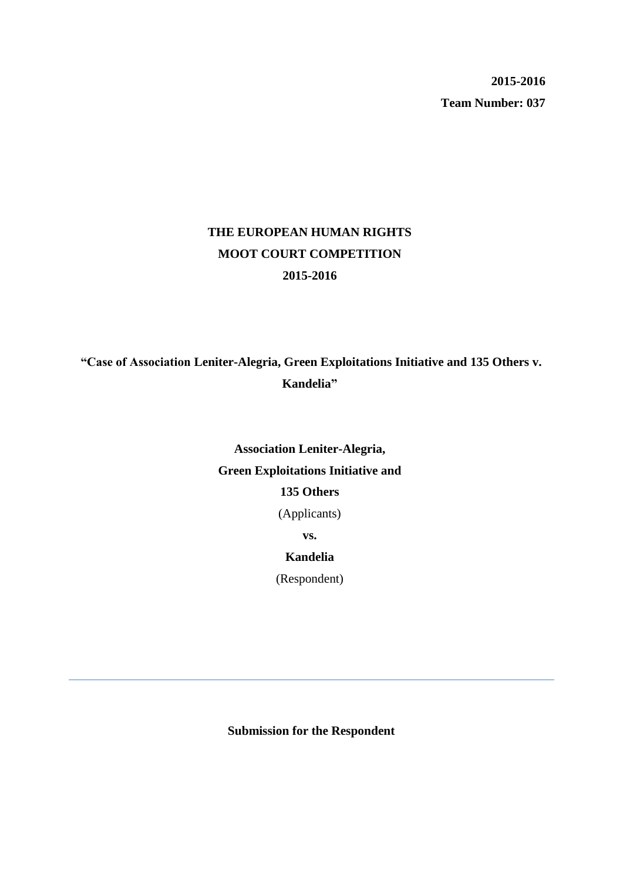**2015-2016 Team Number: 037**

# **THE EUROPEAN HUMAN RIGHTS MOOT COURT COMPETITION 2015-2016**

# **"Case of Association Leniter-Alegria, Green Exploitations Initiative and 135 Others v. Kandelia"**

**Association Leniter-Alegria, Green Exploitations Initiative and 135 Others** (Applicants) **vs.**

## **Kandelia**

(Respondent)

**Submission for the Respondent**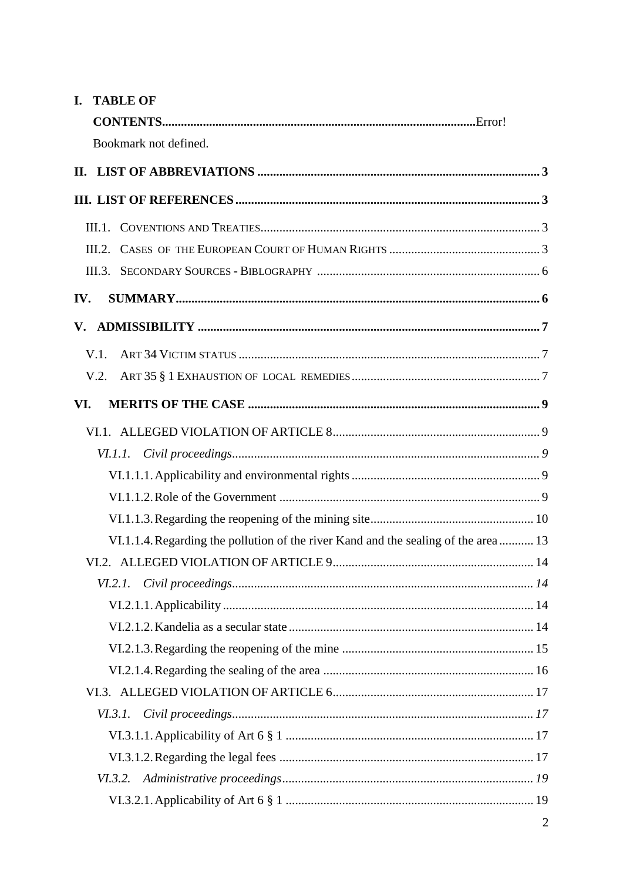|     | I. TABLE OF                                                                        |  |  |
|-----|------------------------------------------------------------------------------------|--|--|
|     |                                                                                    |  |  |
|     | Bookmark not defined.                                                              |  |  |
|     |                                                                                    |  |  |
|     |                                                                                    |  |  |
|     |                                                                                    |  |  |
|     |                                                                                    |  |  |
|     | III.3.                                                                             |  |  |
| IV. |                                                                                    |  |  |
|     |                                                                                    |  |  |
|     | V.1.                                                                               |  |  |
|     | V.2.                                                                               |  |  |
| VI. |                                                                                    |  |  |
|     |                                                                                    |  |  |
|     |                                                                                    |  |  |
|     |                                                                                    |  |  |
|     |                                                                                    |  |  |
|     |                                                                                    |  |  |
|     | VI.1.1.4. Regarding the pollution of the river Kand and the sealing of the area 13 |  |  |
|     |                                                                                    |  |  |
|     | VI.2.1.                                                                            |  |  |
|     |                                                                                    |  |  |
|     |                                                                                    |  |  |
|     |                                                                                    |  |  |
|     |                                                                                    |  |  |
|     |                                                                                    |  |  |
|     | VI.3.1.                                                                            |  |  |
|     |                                                                                    |  |  |
|     |                                                                                    |  |  |
|     |                                                                                    |  |  |
|     |                                                                                    |  |  |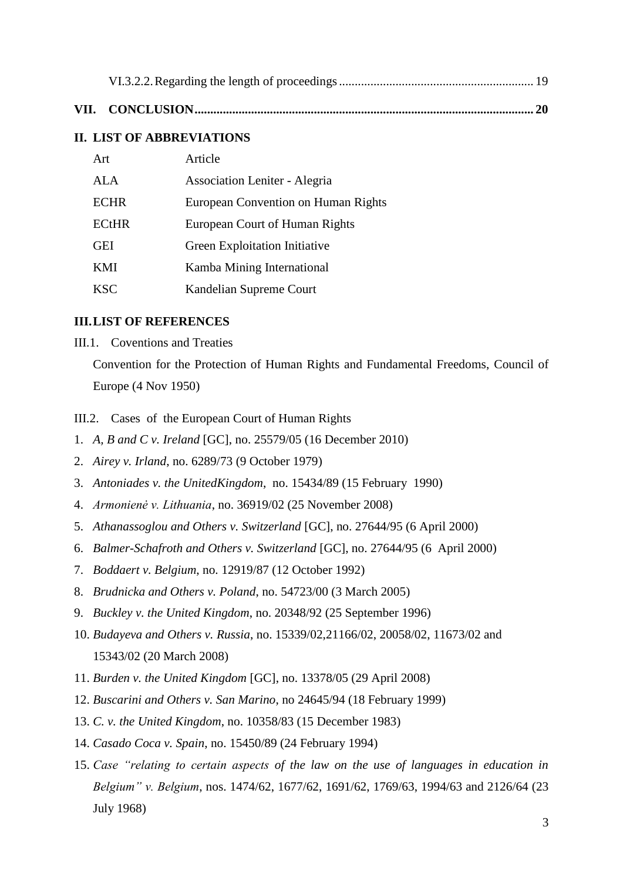|--|--|--|--|

|--|--|--|

## <span id="page-2-0"></span>**II. LIST OF ABBREVIATIONS**

| Art          | Article                              |
|--------------|--------------------------------------|
| <b>ALA</b>   | <b>Association Leniter - Alegria</b> |
| <b>ECHR</b>  | European Convention on Human Rights  |
| <b>ECtHR</b> | European Court of Human Rights       |
| <b>GEI</b>   | Green Exploitation Initiative        |
| KMI          | Kamba Mining International           |
| <b>KSC</b>   | Kandelian Supreme Court              |

# <span id="page-2-1"></span>**III.LIST OF REFERENCES**

<span id="page-2-2"></span>III.1. Coventions and Treaties

Convention for the Protection of Human Rights and Fundamental Freedoms, Council of Europe (4 Nov 1950)

<span id="page-2-3"></span>III.2. Cases of the European Court of Human Rights

- 1. *A, B and C v. Ireland* [GC], no. 25579/05 (16 December 2010)
- 2. *Airey v. Irland*, no. 6289/73 (9 October 1979)
- 3. *Antoniades v. the UnitedKingdom*, no. 15434/89 (15 February 1990)
- 4. *Armonienė v. Lithuania*, no. 36919/02 (25 November 2008)
- 5. *Athanassoglou and Others v. Switzerland* [GC], no. 27644/95 (6 April 2000)
- 6. *Balmer-Schafroth and Others v. Switzerland* [GC], no. 27644/95 (6 April 2000)
- 7. *Boddaert v. Belgium*, no. 12919/87 (12 October 1992)
- 8. *Brudnicka and Others v. Poland*, no. 54723/00 (3 March 2005)
- 9. *Buckley v. the United Kingdom*, no. 20348/92 (25 September 1996)
- 10. *Budayeva and Others v. Russia*, no. 15339/02,21166/02, 20058/02, 11673/02 and 15343/02 (20 March 2008)
- 11. *Burden v. the United Kingdom* [GC], no. 13378/05 (29 April 2008)
- 12. *Buscarini and Others v. San Marino*, no 24645/94 (18 February 1999)
- 13. *C. v. the United Kingdom*, no. 10358/83 (15 December 1983)
- 14. *Casado Coca v. Spain*, no. 15450/89 (24 February 1994)
- 15. *Case "relating to certain aspects of the law on the use of languages in education in Belgium" v. Belgium*, nos. 1474/62, 1677/62, 1691/62, 1769/63, 1994/63 and 2126/64 (23 July 1968)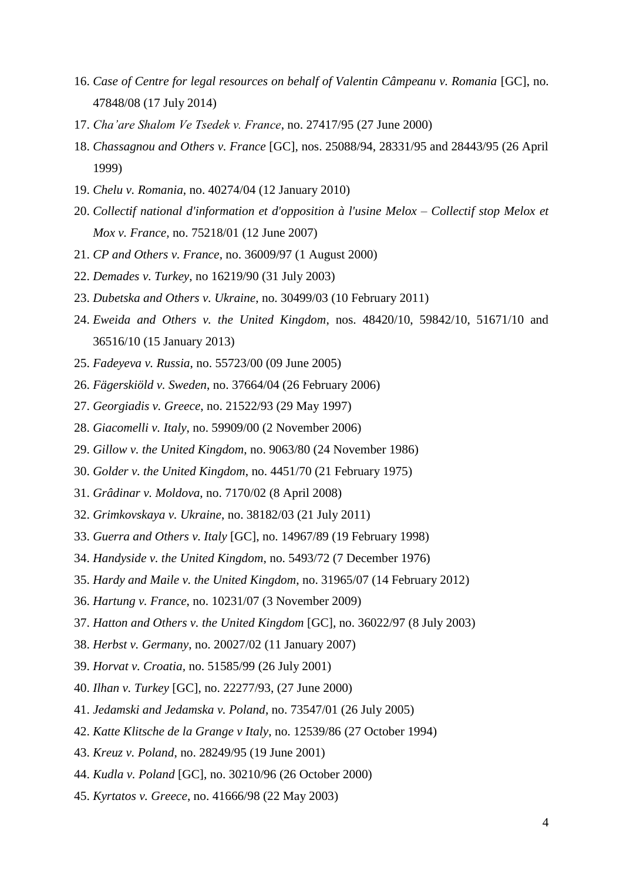- 16. *Case of Centre for legal resources on behalf of Valentin Câmpeanu v. Romania* [GC], no. 47848/08 (17 July 2014)
- 17. *Cha'are Shalom Ve Tsedek v. France*, no. 27417/95 (27 June 2000)
- 18. *Chassagnou and Others v. France* [GC], nos. 25088/94, 28331/95 and 28443/95 (26 April 1999)
- 19. *Chelu v. Romania*, no. 40274/04 (12 January 2010)
- 20. *Collectif national d'information et d'opposition à l'usine Melox – Collectif stop Melox et Mox v. France,* no. 75218/01 (12 June 2007)
- 21. *CP and Others v. France*, no. 36009/97 (1 August 2000)
- 22. *Demades v. Turkey*, no 16219/90 (31 July 2003)
- 23. *Dubetska and Others v. Ukraine*, no. 30499/03 (10 February 2011)
- 24. *Eweida and Others v. the United Kingdom*, nos. 48420/10, 59842/10, 51671/10 and 36516/10 (15 January 2013)
- 25. *Fadeyeva v. Russia*, no. 55723/00 (09 June 2005)
- 26. *Fägerskiöld v. Sweden*, no. 37664/04 (26 February 2006)
- 27. *Georgiadis v. Greece*, no. 21522/93 (29 May 1997)
- 28. *Giacomelli v. Italy*, no. 59909/00 (2 November 2006)
- 29. *Gillow v. the United Kingdom*, no. 9063/80 (24 November 1986)
- 30. *Golder v. the United Kingdom*, no. 4451/70 (21 February 1975)
- 31. *Grâdinar v. Moldova*, no. 7170/02 (8 April 2008)
- 32. *Grimkovskaya v. Ukraine*, no. 38182/03 (21 July 2011)
- 33. *Guerra and Others v. Italy* [GC], no. 14967/89 (19 February 1998)
- 34. *Handyside v. the United Kingdom*, no. 5493/72 (7 December 1976)
- 35. *Hardy and Maile v. the United Kingdom*, no. 31965/07 (14 February 2012)
- 36. *Hartung v. France*, no. 10231/07 (3 November 2009)
- 37. *Hatton and Others v. the United Kingdom* [GC], no. 36022/97 (8 July 2003)
- 38. *Herbst v. Germany*, no. 20027/02 (11 January 2007)
- 39. *Horvat v. Croatia,* no. 51585/99 (26 July 2001)
- 40. *Ilhan v. Turkey* [GC], no. 22277/93, (27 June 2000)
- 41. *Jedamski and Jedamska v. Poland*, no. 73547/01 (26 July 2005)
- 42. *Katte Klitsche de la Grange v Italy*, no. 12539/86 (27 October 1994)
- 43. *Kreuz v. Poland*, no. 28249/95 (19 June 2001)
- 44. *Kudla v. Poland* [GC], no. [30210/96](http://hudoc.echr.coe.int/eng#%7B%22appno%22:[%2230210/96%22]%7D) (26 October 2000)
- 45. *Kyrtatos v. Greece*, no. 41666/98 (22 May 2003)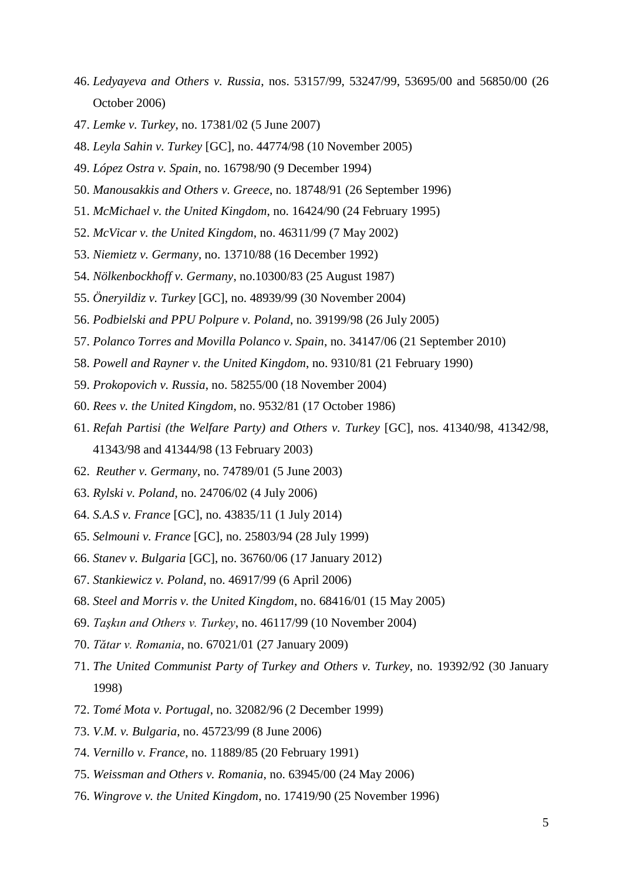- 46. *Ledyayeva and Others v. Russia*, nos. 53157/99, 53247/99, 53695/00 and 56850/00 (26 October 2006)
- 47. *Lemke v. Turkey*, no. 17381/02 (5 June 2007)
- 48. *Leyla Sahin v. Turkey* [GC], no. 44774/98 (10 November 2005)
- 49. *López Ostra v. Spain*, no. 16798/90 (9 December 1994)
- 50. *Manousakkis and Others v. Greece*, no. 18748/91 (26 September 1996)
- 51. *McMichael v. the United Kingdom*, no. 16424/90 (24 February 1995)
- 52. *McVicar v. the United Kingdom*, no. 46311/99 (7 May 2002)
- 53. *Niemietz v. Germany*, no. 13710/88 (16 December 1992)
- 54. *Nölkenbockhoff v. Germany*, no.10300/83 (25 August 1987)
- 55. *Öneryildiz v. Turkey* [GC], no. 48939/99 (30 November 2004)
- 56. *Podbielski and PPU Polpure v. Poland*, no. 39199/98 (26 July 2005)
- 57. *Polanco Torres and Movilla Polanco v. Spain*, no. 34147/06 (21 September 2010)
- 58. *Powell and Rayner v. the United Kingdom*, no. 9310/81 (21 February 1990)
- 59. *Prokopovich v. Russia*, no. 58255/00 (18 November 2004)
- 60. *Rees v. the United Kingdom*, no. 9532/81 (17 October 1986)
- 61. *Refah Partisi (the Welfare Party) and Others v. Turkey* [GC], nos. 41340/98, 41342/98, 41343/98 and 41344/98 (13 February 2003)
- 62. *Reuther v. Germany*, no. 74789/01 (5 June 2003)
- 63. *Rylski v. Poland*, no. 24706/02 (4 July 2006)
- 64. *S.A.S v. France* [GC], no. 43835/11 (1 July 2014)
- 65. *Selmouni v. France* [GC], no. 25803/94 (28 July 1999)
- 66. *Stanev v. Bulgaria* [GC], no. 36760/06 (17 January 2012)
- 67. *Stankiewicz v. Poland*, no. 46917/99 (6 April 2006)
- 68. *Steel and Morris v. the United Kingdom*, no. 68416/01 (15 May 2005)
- 69. *Taşkın and Others v. Turkey*, no. 46117/99 (10 November 2004)
- 70. *Tătar v. Romania*, no. 67021/01 (27 January 2009)
- 71. *The United Communist Party of Turkey and Others v. Turkey*, no. 19392/92 (30 January 1998)
- 72. *Tomé Mota v. Portugal*, no. 32082/96 (2 December 1999)
- 73. *V.M. v. Bulgaria*, no. 45723/99 (8 June 2006)
- 74. *Vernillo v. France*, no. 11889/85 (20 February 1991)
- 75. *Weissman and Others v. Romania*, no. 63945/00 (24 May 2006)
- 76. *Wingrove v. the United Kingdom*, no. 17419/90 (25 November 1996)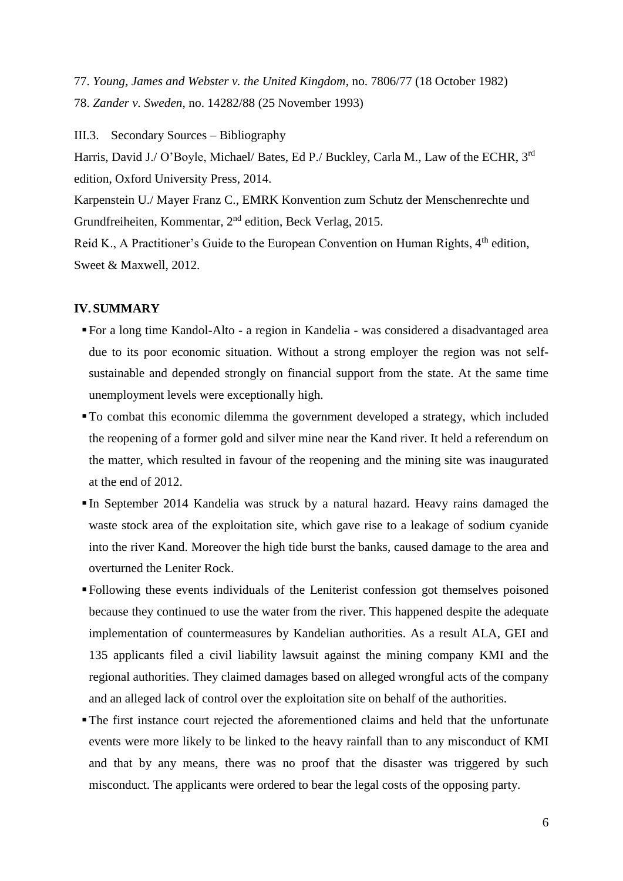77. *Young, James and Webster v. the United Kingdom*, no. 7806/77 (18 October 1982) 78. *Zander v. Sweden*, no. 14282/88 (25 November 1993)

<span id="page-5-0"></span>III.3. Secondary Sources – Bibliography

Harris, David J./ O'Boyle, Michael/ Bates, Ed P./ Buckley, Carla M., Law of the ECHR, 3rd edition, Oxford University Press, 2014.

Karpenstein U./ Mayer Franz C., EMRK Konvention zum Schutz der Menschenrechte und Grundfreiheiten, Kommentar, 2nd edition, Beck Verlag, 2015.

Reid K., A Practitioner's Guide to the European Convention on Human Rights, 4<sup>th</sup> edition, Sweet & Maxwell, 2012.

#### <span id="page-5-1"></span>**IV.SUMMARY**

- For a long time Kandol-Alto a region in Kandelia was considered a disadvantaged area due to its poor economic situation. Without a strong employer the region was not selfsustainable and depended strongly on financial support from the state. At the same time unemployment levels were exceptionally high.
- To combat this economic dilemma the government developed a strategy, which included the reopening of a former gold and silver mine near the Kand river. It held a referendum on the matter, which resulted in favour of the reopening and the mining site was inaugurated at the end of 2012.
- In September 2014 Kandelia was struck by a natural hazard. Heavy rains damaged the waste stock area of the exploitation site, which gave rise to a leakage of sodium cyanide into the river Kand. Moreover the high tide burst the banks, caused damage to the area and overturned the Leniter Rock.
- Following these events individuals of the Leniterist confession got themselves poisoned because they continued to use the water from the river. This happened despite the adequate implementation of countermeasures by Kandelian authorities. As a result ALA, GEI and 135 applicants filed a civil liability lawsuit against the mining company KMI and the regional authorities. They claimed damages based on alleged wrongful acts of the company and an alleged lack of control over the exploitation site on behalf of the authorities.
- The first instance court rejected the aforementioned claims and held that the unfortunate events were more likely to be linked to the heavy rainfall than to any misconduct of KMI and that by any means, there was no proof that the disaster was triggered by such misconduct. The applicants were ordered to bear the legal costs of the opposing party.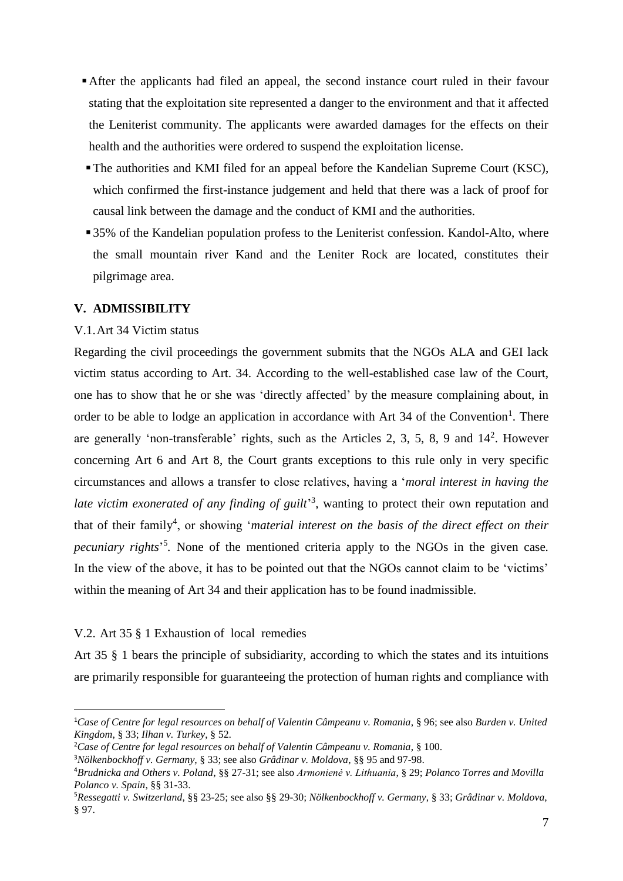- After the applicants had filed an appeal, the second instance court ruled in their favour stating that the exploitation site represented a danger to the environment and that it affected the Leniterist community. The applicants were awarded damages for the effects on their health and the authorities were ordered to suspend the exploitation license.
- The authorities and KMI filed for an appeal before the Kandelian Supreme Court (KSC), which confirmed the first-instance judgement and held that there was a lack of proof for causal link between the damage and the conduct of KMI and the authorities.
- ■35% of the Kandelian population profess to the Leniterist confession. Kandol-Alto, where the small mountain river Kand and the Leniter Rock are located, constitutes their pilgrimage area.

## <span id="page-6-0"></span>**V. ADMISSIBILITY**

## <span id="page-6-1"></span>V.1.Art 34 Victim status

Regarding the civil proceedings the government submits that the NGOs ALA and GEI lack victim status according to Art. 34. According to the well-established case law of the Court, one has to show that he or she was 'directly affected' by the measure complaining about, in order to be able to lodge an application in accordance with Art 34 of the Convention<sup>1</sup>. There are generally 'non-transferable' rights, such as the Articles 2, 3, 5, 8, 9 and  $14<sup>2</sup>$ . However concerning Art 6 and Art 8, the Court grants exceptions to this rule only in very specific circumstances and allows a transfer to close relatives, having a '*moral interest in having the*  late victim exonerated of any finding of guilt<sup>3</sup>, wanting to protect their own reputation and that of their family<sup>4</sup>, or showing '*material interest on the basis of the direct effect on their pecuniary rights*<sup>55</sup>. None of the mentioned criteria apply to the NGOs in the given case. In the view of the above, it has to be pointed out that the NGOs cannot claim to be 'victims' within the meaning of Art 34 and their application has to be found inadmissible.

## <span id="page-6-2"></span>V.2. Art 35 § 1 Exhaustion of local remedies

 $\overline{a}$ 

Art 35 § 1 bears the principle of subsidiarity, according to which the states and its intuitions are primarily responsible for guaranteeing the protection of human rights and compliance with

<sup>1</sup>*Case of Centre for legal resources on behalf of Valentin Câmpeanu v. Romania*, § 96; see also *Burden v. United Kingdom*, § 33; *Ilhan v. Turkey*, § 52.

<sup>2</sup>*Case of Centre for legal resources on behalf of Valentin Câmpeanu v. Romania*, § 100.

<sup>3</sup>*Nölkenbockhoff v. Germany*, § 33; see also *Grâdinar v. Moldova*, §§ 95 and 97-98.

<sup>4</sup>*Brudnicka and Others v. Poland*, §§ 27-31; see also *Armonienė v. Lithuania*, § 29; *Polanco Torres and Movilla Polanco v. Spain*, §§ 31-33.

<sup>5</sup>*Ressegatti v. Switzerland*, §§ 23-25; see also §§ 29-30; *Nölkenbockhoff v. Germany*, § 33; *Grâdinar v. Moldova*, § 97.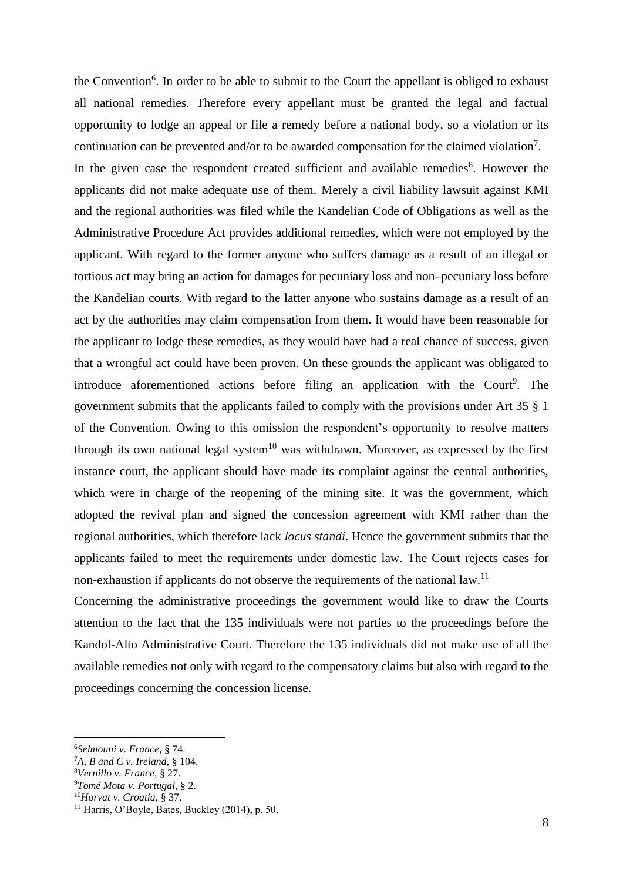the Convention<sup>6</sup>. In order to be able to submit to the Court the appellant is obliged to exhaust all national remedies. Therefore every appellant must be granted the legal and factual opportunity to lodge an appeal or file a remedy before a national body, so a violation or its continuation can be prevented and/or to be awarded compensation for the claimed violation<sup>7</sup>. In the given case the respondent created sufficient and available remedies<sup>8</sup>. However the applicants did not make adequate use of them. Merely a civil liability lawsuit against KMI and the regional authorities was filed while the Kandelian Code of Obligations as well as the Administrative Procedure Act provides additional remedies, which were not employed by the applicant. With regard to the former anyone who suffers damage as a result of an illegal or tortious act may bring an action for damages for pecuniary loss and non–pecuniary loss before the Kandelian courts. With regard to the latter anyone who sustains damage as a result of an act by the authorities may claim compensation from them. It would have been reasonable for the applicant to lodge these remedies, as they would have had a real chance of success, given that a wrongful act could have been proven. On these grounds the applicant was obligated to introduce aforementioned actions before filing an application with the Court<sup>9</sup>. The government submits that the applicants failed to comply with the provisions under Art 35 § 1 of the Convention. Owing to this omission the respondent's opportunity to resolve matters through its own national legal system<sup>10</sup> was withdrawn. Moreover, as expressed by the first instance court, the applicant should have made its complaint against the central authorities, which were in charge of the reopening of the mining site. It was the government, which adopted the revival plan and signed the concession agreement with KMI rather than the regional authorities, which therefore lack *locus standi*. Hence the government submits that the applicants failed to meet the requirements under domestic law. The Court rejects cases for non-exhaustion if applicants do not observe the requirements of the national law.<sup>11</sup>

Concerning the administrative proceedings the government would like to draw the Courts attention to the fact that the 135 individuals were not parties to the proceedings before the Kandol-Alto Administrative Court. Therefore the 135 individuals did not make use of all the available remedies not only with regard to the compensatory claims but also with regard to the proceedings concerning the concession license.

<sup>8</sup>*Vernillo v. France*, § 27.

1

<sup>9</sup>*Tomé Mota v. Portugal*, § 2. <sup>10</sup>*Horvat v. Croatia*, § 37.

<sup>6</sup>*Selmouni v. France*, § 74.

<sup>7</sup>*A, B and C v. Ireland*, § 104.

 $11$  Harris, O'Boyle, Bates, Buckley (2014), p. 50.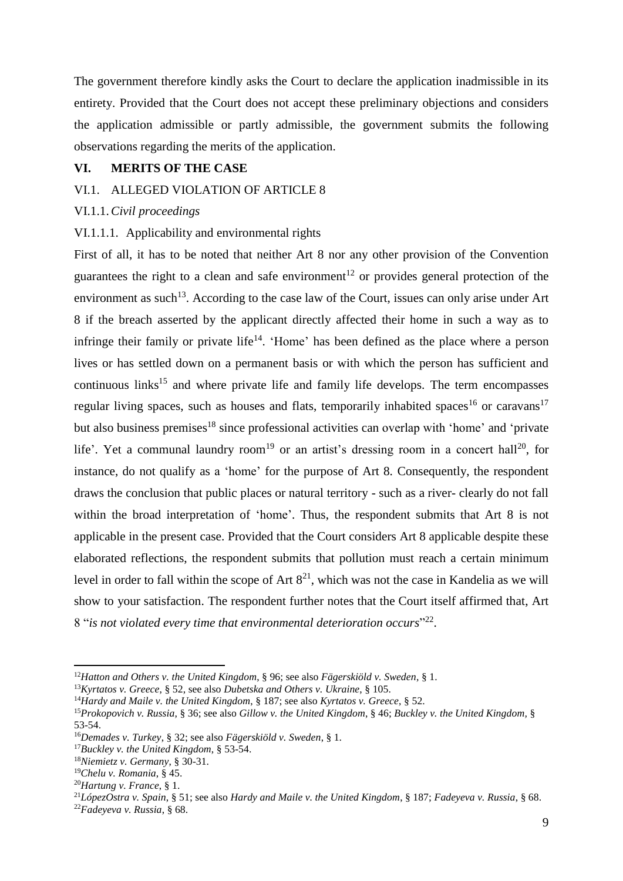The government therefore kindly asks the Court to declare the application inadmissible in its entirety. Provided that the Court does not accept these preliminary objections and considers the application admissible or partly admissible, the government submits the following observations regarding the merits of the application.

## <span id="page-8-0"></span>**VI. MERITS OF THE CASE**

## <span id="page-8-1"></span>VI.1. ALLEGED VIOLATION OF ARTICLE 8

#### <span id="page-8-2"></span>VI.1.1.*Civil proceedings*

#### <span id="page-8-3"></span>VI.1.1.1. Applicability and environmental rights

First of all, it has to be noted that neither Art 8 nor any other provision of the Convention guarantees the right to a clean and safe environment<sup>12</sup> or provides general protection of the environment as such<sup>13</sup>. According to the case law of the Court, issues can only arise under Art 8 if the breach asserted by the applicant directly affected their home in such a way as to infringe their family or private life<sup>14</sup>. 'Home' has been defined as the place where a person lives or has settled down on a permanent basis or with which the person has sufficient and  $\epsilon$  continuous links<sup>15</sup> and where private life and family life develops. The term encompasses regular living spaces, such as houses and flats, temporarily inhabited spaces<sup>16</sup> or caravans<sup>17</sup> but also business premises<sup>18</sup> since professional activities can overlap with 'home' and 'private life'. Yet a communal laundry room<sup>19</sup> or an artist's dressing room in a concert hall<sup>20</sup>, for instance, do not qualify as a 'home' for the purpose of Art 8. Consequently, the respondent draws the conclusion that public places or natural territory - such as a river- clearly do not fall within the broad interpretation of 'home'. Thus, the respondent submits that Art 8 is not applicable in the present case. Provided that the Court considers Art 8 applicable despite these elaborated reflections, the respondent submits that pollution must reach a certain minimum level in order to fall within the scope of Art  $8^{21}$ , which was not the case in Kandelia as we will show to your satisfaction. The respondent further notes that the Court itself affirmed that, Art 8 "*is not violated every time that environmental deterioration occurs*" 22 .

1

<sup>12</sup>*Hatton and Others v. the United Kingdom*, § 96; see also *Fägerskiöld v. Sweden*, § 1.

<sup>13</sup>*Kyrtatos v. Greece*, § 52, see also *Dubetska and Others v. Ukraine*, § 105.

<sup>14</sup>*Hardy and Maile v. the United Kingdom*, § 187; see also *Kyrtatos v. Greece*, § 52.

<sup>15</sup>*Prokopovich v. Russia*, § 36; see also *Gillow v. the United Kingdom*, § 46; *Buckley v. the United Kingdom,* § 53-54.

<sup>16</sup>*Demades v. Turkey*, § 32; see also *Fägerskiöld v. Sweden*, § 1.

<sup>17</sup>*Buckley v. the United Kingdom*, § 53-54.

<sup>18</sup>*Niemietz v. Germany*, § 30-31.

<sup>19</sup>*Chelu v. Romania*, § 45.

<sup>20</sup>*Hartung v. France*, § 1.

<sup>21</sup>*LópezOstra v. Spain*, § 51; see also *Hardy and Maile v. the United Kingdom*, § 187; *Fadeyeva v. Russia*, § 68.

<sup>22</sup>*Fadeyeva v. Russia*, § 68.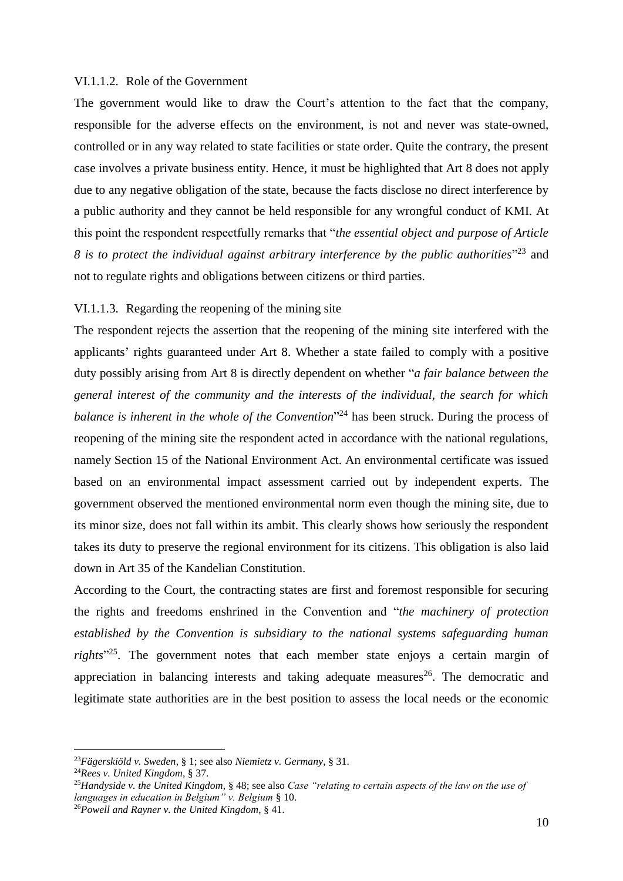#### <span id="page-9-0"></span>VI.1.1.2. Role of the Government

The government would like to draw the Court's attention to the fact that the company, responsible for the adverse effects on the environment, is not and never was state-owned, controlled or in any way related to state facilities or state order. Quite the contrary, the present case involves a private business entity. Hence, it must be highlighted that Art 8 does not apply due to any negative obligation of the state, because the facts disclose no direct interference by a public authority and they cannot be held responsible for any wrongful conduct of KMI. At this point the respondent respectfully remarks that "*the essential object and purpose of Article 8 is to protect the individual against arbitrary interference by the public authorities*" <sup>23</sup> and not to regulate rights and obligations between citizens or third parties.

#### <span id="page-9-1"></span>VI.1.1.3. Regarding the reopening of the mining site

The respondent rejects the assertion that the reopening of the mining site interfered with the applicants' rights guaranteed under Art 8. Whether a state failed to comply with a positive duty possibly arising from Art 8 is directly dependent on whether "*a fair balance between the general interest of the community and the interests of the individual, the search for which balance is inherent in the whole of the Convention*" <sup>24</sup> has been struck. During the process of reopening of the mining site the respondent acted in accordance with the national regulations, namely Section 15 of the National Environment Act. An environmental certificate was issued based on an environmental impact assessment carried out by independent experts. The government observed the mentioned environmental norm even though the mining site, due to its minor size, does not fall within its ambit. This clearly shows how seriously the respondent takes its duty to preserve the regional environment for its citizens. This obligation is also laid down in Art 35 of the Kandelian Constitution.

According to the Court, the contracting states are first and foremost responsible for securing the rights and freedoms enshrined in the Convention and "*the machinery of protection established by the Convention is subsidiary to the national systems safeguarding human*  rights<sup>"25</sup>. The government notes that each member state enjoys a certain margin of appreciation in balancing interests and taking adequate measures $26$ . The democratic and legitimate state authorities are in the best position to assess the local needs or the economic

<sup>23</sup>*Fägerskiöld v. Sweden*, § 1; see also *Niemietz v. Germany*, § 31.

<sup>24</sup>*Rees v. United Kingdom*, § 37.

<sup>25</sup>*Handyside v. the United Kingdom*, § 48; see also *Case "relating to certain aspects of the law on the use of languages in education in Belgium" v. Belgium* § 10.

<sup>26</sup>*Powell and Rayner v. the United Kingdom*, § 41.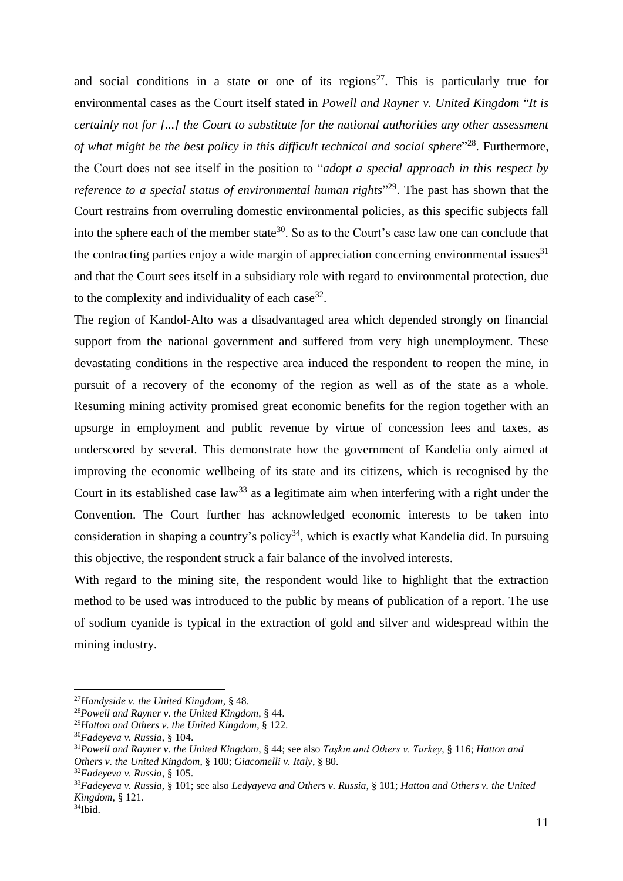and social conditions in a state or one of its regions<sup>27</sup>. This is particularly true for environmental cases as the Court itself stated in *Powell and Rayner v. United Kingdom* "*It is certainly not for [...] the Court to substitute for the national authorities any other assessment*  of what might be the best policy in this difficult technical and social sphere<sup>"28</sup>. Furthermore, the Court does not see itself in the position to "*adopt a special approach in this respect by*  reference to a special status of environmental human rights<sup>"29</sup>. The past has shown that the Court restrains from overruling domestic environmental policies, as this specific subjects fall into the sphere each of the member state<sup>30</sup>. So as to the Court's case law one can conclude that the contracting parties enjoy a wide margin of appreciation concerning environmental issues<sup>31</sup> and that the Court sees itself in a subsidiary role with regard to environmental protection, due to the complexity and individuality of each case<sup>32</sup>.

The region of Kandol-Alto was a disadvantaged area which depended strongly on financial support from the national government and suffered from very high unemployment. These devastating conditions in the respective area induced the respondent to reopen the mine, in pursuit of a recovery of the economy of the region as well as of the state as a whole. Resuming mining activity promised great economic benefits for the region together with an upsurge in employment and public revenue by virtue of concession fees and taxes, as underscored by several. This demonstrate how the government of Kandelia only aimed at improving the economic wellbeing of its state and its citizens, which is recognised by the Court in its established case law<sup>33</sup> as a legitimate aim when interfering with a right under the Convention. The Court further has acknowledged economic interests to be taken into consideration in shaping a country's policy<sup>34</sup>, which is exactly what Kandelia did. In pursuing this objective, the respondent struck a fair balance of the involved interests.

With regard to the mining site, the respondent would like to highlight that the extraction method to be used was introduced to the public by means of publication of a report. The use of sodium cyanide is typical in the extraction of gold and silver and widespread within the mining industry.

 $34$ Ibid.

<sup>27</sup>*Handyside v. the United Kingdom*, § 48.

<sup>28</sup>*Powell and Rayner v. the United Kingdom*, § 44.

<sup>29</sup>*Hatton and Others v. the United Kingdom*, § 122.

<sup>30</sup>*Fadeyeva v. Russia*, § 104.

<sup>31</sup>*Powell and Rayner v. the United Kingdom*, § 44; see also *Taşkın and Others v. Turkey*, § 116; *Hatton and Others v. the United Kingdom*, § 100; *Giacomelli v. Italy*, § 80.

<sup>32</sup>*Fadeyeva v. Russia*, § 105.

<sup>33</sup>*Fadeyeva v. Russia*, § 101; see also *Ledyayeva and Others v. Russia*, § 101; *Hatton and Others v. the United Kingdom*, § 121.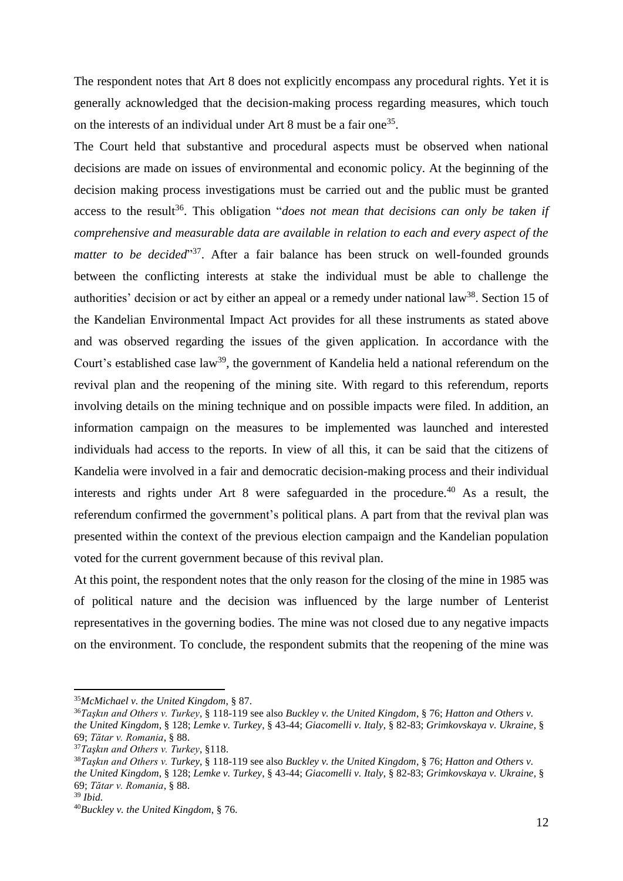The respondent notes that Art 8 does not explicitly encompass any procedural rights. Yet it is generally acknowledged that the decision-making process regarding measures, which touch on the interests of an individual under Art 8 must be a fair one<sup>35</sup>.

The Court held that substantive and procedural aspects must be observed when national decisions are made on issues of environmental and economic policy. At the beginning of the decision making process investigations must be carried out and the public must be granted access to the result<sup>36</sup>. This obligation "*does not mean that decisions can only be taken if comprehensive and measurable data are available in relation to each and every aspect of the*  matter to be decided"<sup>37</sup>. After a fair balance has been struck on well-founded grounds between the conflicting interests at stake the individual must be able to challenge the authorities' decision or act by either an appeal or a remedy under national law<sup>38</sup>. Section 15 of the Kandelian Environmental Impact Act provides for all these instruments as stated above and was observed regarding the issues of the given application. In accordance with the Court's established case law<sup>39</sup>, the government of Kandelia held a national referendum on the revival plan and the reopening of the mining site. With regard to this referendum, reports involving details on the mining technique and on possible impacts were filed. In addition, an information campaign on the measures to be implemented was launched and interested individuals had access to the reports. In view of all this, it can be said that the citizens of Kandelia were involved in a fair and democratic decision-making process and their individual interests and rights under Art 8 were safeguarded in the procedure. <sup>40</sup> As a result, the referendum confirmed the government's political plans. A part from that the revival plan was presented within the context of the previous election campaign and the Kandelian population voted for the current government because of this revival plan.

At this point, the respondent notes that the only reason for the closing of the mine in 1985 was of political nature and the decision was influenced by the large number of Lenterist representatives in the governing bodies. The mine was not closed due to any negative impacts on the environment. To conclude, the respondent submits that the reopening of the mine was

<sup>35</sup>*McMichael v. the United Kingdom*, § 87.

<sup>36</sup>*Taşkın and Others v. Turkey*, § 118-119 see also *Buckley v. the United Kingdom*, § 76; *Hatton and Others v. the United Kingdom*, § 128; *Lemke v. Turkey*, § 43-44; *Giacomelli v. Italy*, § 82-83; *Grimkovskaya v. Ukraine*, § 69; *Tătar v. Romania*, § 88.

<sup>37</sup>*Taşkın and Others v. Turkey*, §118.

<sup>38</sup>*Taşkın and Others v. Turkey*, § 118-119 see also *Buckley v. the United Kingdom*, § 76; *Hatton and Others v. the United Kingdom*, § 128; *Lemke v. Turkey*, § 43-44; *Giacomelli v. Italy*, § 82-83; *Grimkovskaya v. Ukraine*, § 69; *Tătar v. Romania*, § 88.

<sup>39</sup> *Ibid.*

<sup>40</sup>*Buckley v. the United Kingdom*, § 76.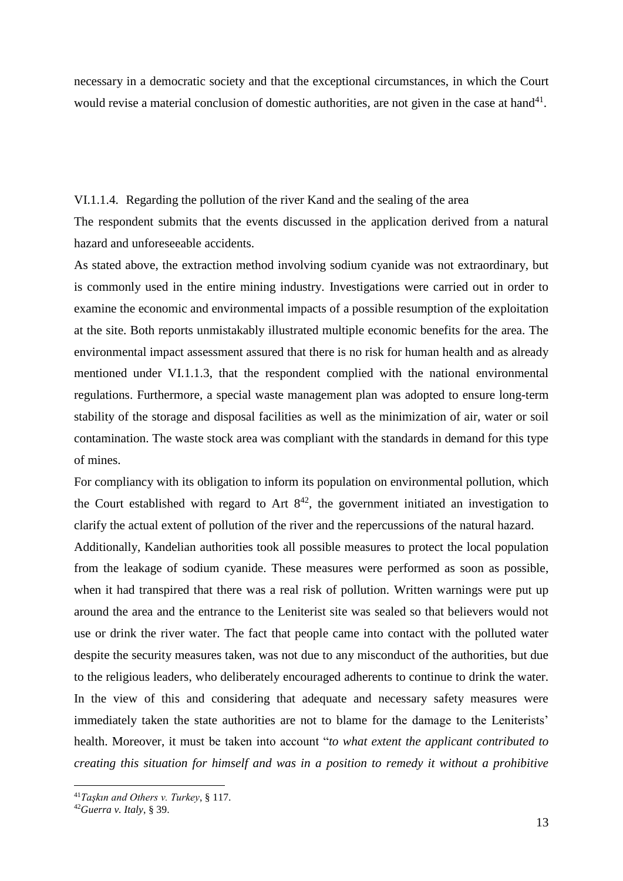necessary in a democratic society and that the exceptional circumstances, in which the Court would revise a material conclusion of domestic authorities, are not given in the case at hand<sup>41</sup>.

<span id="page-12-0"></span>VI.1.1.4. Regarding the pollution of the river Kand and the sealing of the area The respondent submits that the events discussed in the application derived from a natural hazard and unforeseeable accidents.

As stated above, the extraction method involving sodium cyanide was not extraordinary, but is commonly used in the entire mining industry. Investigations were carried out in order to examine the economic and environmental impacts of a possible resumption of the exploitation at the site. Both reports unmistakably illustrated multiple economic benefits for the area. The environmental impact assessment assured that there is no risk for human health and as already mentioned under VI.1.1.3, that the respondent complied with the national environmental regulations. Furthermore, a special waste management plan was adopted to ensure long-term stability of the storage and disposal facilities as well as the minimization of air, water or soil contamination. The waste stock area was compliant with the standards in demand for this type of mines.

For compliancy with its obligation to inform its population on environmental pollution, which the Court established with regard to Art  $8^{42}$ , the government initiated an investigation to clarify the actual extent of pollution of the river and the repercussions of the natural hazard.

Additionally, Kandelian authorities took all possible measures to protect the local population from the leakage of sodium cyanide. These measures were performed as soon as possible, when it had transpired that there was a real risk of pollution. Written warnings were put up around the area and the entrance to the Leniterist site was sealed so that believers would not use or drink the river water. The fact that people came into contact with the polluted water despite the security measures taken, was not due to any misconduct of the authorities, but due to the religious leaders, who deliberately encouraged adherents to continue to drink the water. In the view of this and considering that adequate and necessary safety measures were immediately taken the state authorities are not to blame for the damage to the Leniterists' health. Moreover, it must be taken into account "*to what extent the applicant contributed to creating this situation for himself and was in a position to remedy it without a prohibitive* 

<sup>41</sup>*Taşkın and Others v. Turkey*, § 117.

<sup>42</sup>*Guerra v. Italy*, § 39.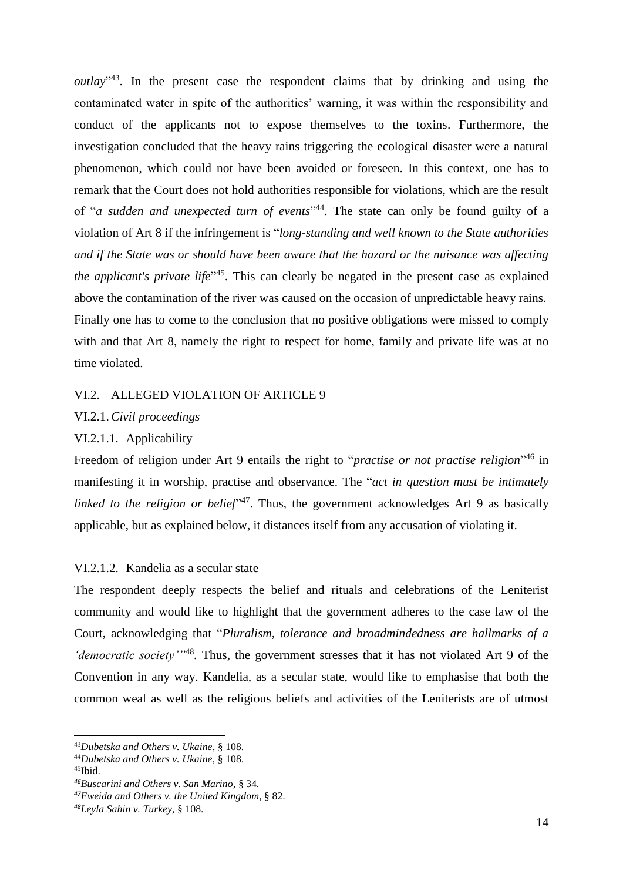*outlay*<sup>143</sup>. In the present case the respondent claims that by drinking and using the contaminated water in spite of the authorities' warning, it was within the responsibility and conduct of the applicants not to expose themselves to the toxins. Furthermore, the investigation concluded that the heavy rains triggering the ecological disaster were a natural phenomenon, which could not have been avoided or foreseen. In this context, one has to remark that the Court does not hold authorities responsible for violations, which are the result of "*a sudden and unexpected turn of events*" <sup>44</sup>. The state can only be found guilty of a violation of Art 8 if the infringement is "*long-standing and well known to the State authorities and if the State was or should have been aware that the hazard or the nuisance was affecting*  the applicant's private life<sup>n45</sup>. This can clearly be negated in the present case as explained above the contamination of the river was caused on the occasion of unpredictable heavy rains. Finally one has to come to the conclusion that no positive obligations were missed to comply with and that Art 8, namely the right to respect for home, family and private life was at no time violated.

#### <span id="page-13-0"></span>VI.2. ALLEGED VIOLATION OF ARTICLE 9

#### <span id="page-13-1"></span>VI.2.1.*Civil proceedings*

## <span id="page-13-2"></span>VI.2.1.1. Applicability

Freedom of religion under Art 9 entails the right to "*practise or not practise religion*" <sup>46</sup> in manifesting it in worship, practise and observance. The "*act in question must be intimately*  linked to the religion or belief<sup>347</sup>. Thus, the government acknowledges Art 9 as basically applicable, but as explained below, it distances itself from any accusation of violating it.

#### <span id="page-13-3"></span>VI.2.1.2. Kandelia as a secular state

The respondent deeply respects the belief and rituals and celebrations of the Leniterist community and would like to highlight that the government adheres to the case law of the Court, acknowledging that "*Pluralism, tolerance and broadmindedness are hallmarks of a*  'democratic society'<sup>''48</sup>. Thus, the government stresses that it has not violated Art 9 of the Convention in any way. Kandelia, as a secular state, would like to emphasise that both the common weal as well as the religious beliefs and activities of the Leniterists are of utmost

 $\overline{a}$ 

<sup>43</sup>*Dubetska and Others v. Ukaine,* § 108.

<sup>44</sup>*Dubetska and Others v. Ukaine,* § 108.

 $45$ Ibid.

*<sup>46</sup>Buscarini and Others v. San Marino*, § 34*.*

*<sup>47</sup>Eweida and Others v. the United Kingdom*, § 82.

*<sup>48</sup>Leyla Sahin v. Turkey*, § 108.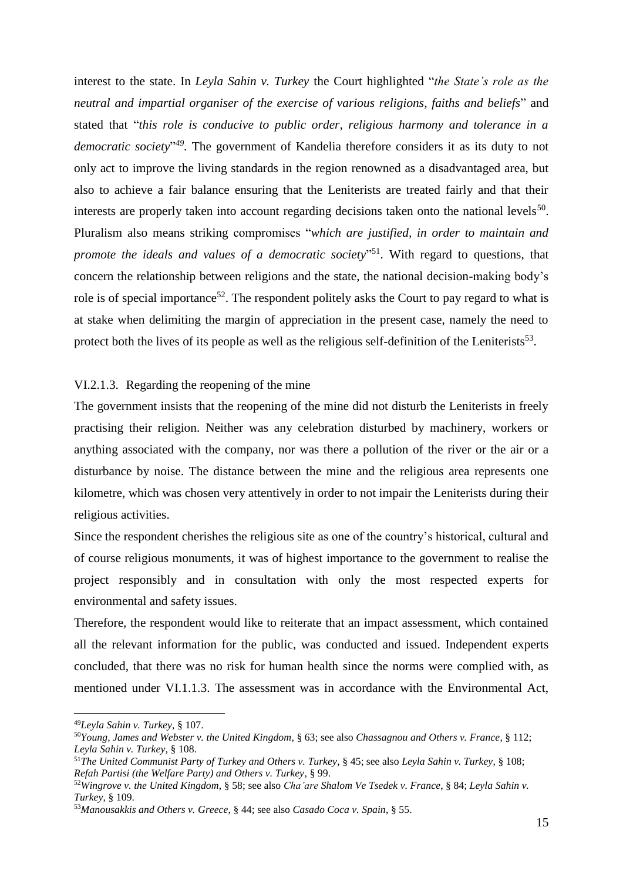interest to the state. In *Leyla Sahin v. Turkey* the Court highlighted "*the State's role as the neutral and impartial organiser of the exercise of various religions, faiths and beliefs*" and stated that "*this role is conducive to public order, religious harmony and tolerance in a*  democratic society<sup>"49</sup>. The government of Kandelia therefore considers it as its duty to not only act to improve the living standards in the region renowned as a disadvantaged area, but also to achieve a fair balance ensuring that the Leniterists are treated fairly and that their interests are properly taken into account regarding decisions taken onto the national levels $50$ . Pluralism also means striking compromises "*which are justified, in order to maintain and promote the ideals and values of a democratic society*" 51 . With regard to questions, that concern the relationship between religions and the state, the national decision-making body's role is of special importance<sup>52</sup>. The respondent politely asks the Court to pay regard to what is at stake when delimiting the margin of appreciation in the present case, namely the need to protect both the lives of its people as well as the religious self-definition of the Leniterists<sup>53</sup>.

#### <span id="page-14-0"></span>VI.2.1.3. Regarding the reopening of the mine

The government insists that the reopening of the mine did not disturb the Leniterists in freely practising their religion. Neither was any celebration disturbed by machinery, workers or anything associated with the company, nor was there a pollution of the river or the air or a disturbance by noise. The distance between the mine and the religious area represents one kilometre, which was chosen very attentively in order to not impair the Leniterists during their religious activities.

Since the respondent cherishes the religious site as one of the country's historical, cultural and of course religious monuments, it was of highest importance to the government to realise the project responsibly and in consultation with only the most respected experts for environmental and safety issues.

Therefore, the respondent would like to reiterate that an impact assessment, which contained all the relevant information for the public, was conducted and issued. Independent experts concluded, that there was no risk for human health since the norms were complied with, as mentioned under VI.1.1.3. The assessment was in accordance with the Environmental Act,

<sup>49</sup>*Leyla Sahin v. Turkey*, § 107.

<sup>50</sup>*Young, James and Webster v. the United Kingdom*, § 63; see also *Chassagnou and Others v. France*, § 112; *Leyla Sahin v. Turkey*, § 108.

<sup>51</sup>*The United Communist Party of Turkey and Others v. Turkey*, § 45; see also *Leyla Sahin v. Turkey*, § 108; *Refah Partisi (the Welfare Party) and Others v. Turkey*, § 99.

<sup>52</sup>*Wingrove v. the United Kingdom*, § 58; see also *Cha'are Shalom Ve Tsedek v. France*, § 84; *Leyla Sahin v. Turkey*, § 109.

<sup>53</sup>*Manousakkis and Others v. Greece*, § 44; see also *Casado Coca v. Spain*, § 55.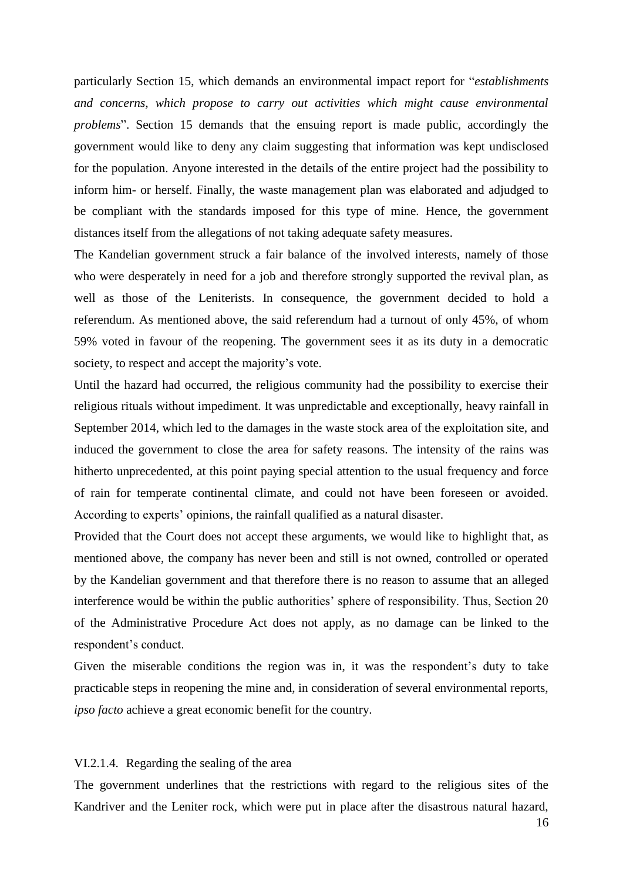particularly Section 15, which demands an environmental impact report for "*establishments and concerns, which propose to carry out activities which might cause environmental problems*". Section 15 demands that the ensuing report is made public, accordingly the government would like to deny any claim suggesting that information was kept undisclosed for the population. Anyone interested in the details of the entire project had the possibility to inform him- or herself. Finally, the waste management plan was elaborated and adjudged to be compliant with the standards imposed for this type of mine. Hence, the government distances itself from the allegations of not taking adequate safety measures.

The Kandelian government struck a fair balance of the involved interests, namely of those who were desperately in need for a job and therefore strongly supported the revival plan, as well as those of the Leniterists. In consequence, the government decided to hold a referendum. As mentioned above, the said referendum had a turnout of only 45%, of whom 59% voted in favour of the reopening. The government sees it as its duty in a democratic society, to respect and accept the majority's vote.

Until the hazard had occurred, the religious community had the possibility to exercise their religious rituals without impediment. It was unpredictable and exceptionally, heavy rainfall in September 2014, which led to the damages in the waste stock area of the exploitation site, and induced the government to close the area for safety reasons. The intensity of the rains was hitherto unprecedented, at this point paying special attention to the usual frequency and force of rain for temperate continental climate, and could not have been foreseen or avoided. According to experts' opinions, the rainfall qualified as a natural disaster.

Provided that the Court does not accept these arguments, we would like to highlight that, as mentioned above, the company has never been and still is not owned, controlled or operated by the Kandelian government and that therefore there is no reason to assume that an alleged interference would be within the public authorities' sphere of responsibility. Thus, Section 20 of the Administrative Procedure Act does not apply, as no damage can be linked to the respondent's conduct.

Given the miserable conditions the region was in, it was the respondent's duty to take practicable steps in reopening the mine and, in consideration of several environmental reports, *ipso facto* achieve a great economic benefit for the country.

#### <span id="page-15-0"></span>VI.2.1.4. Regarding the sealing of the area

The government underlines that the restrictions with regard to the religious sites of the Kandriver and the Leniter rock, which were put in place after the disastrous natural hazard,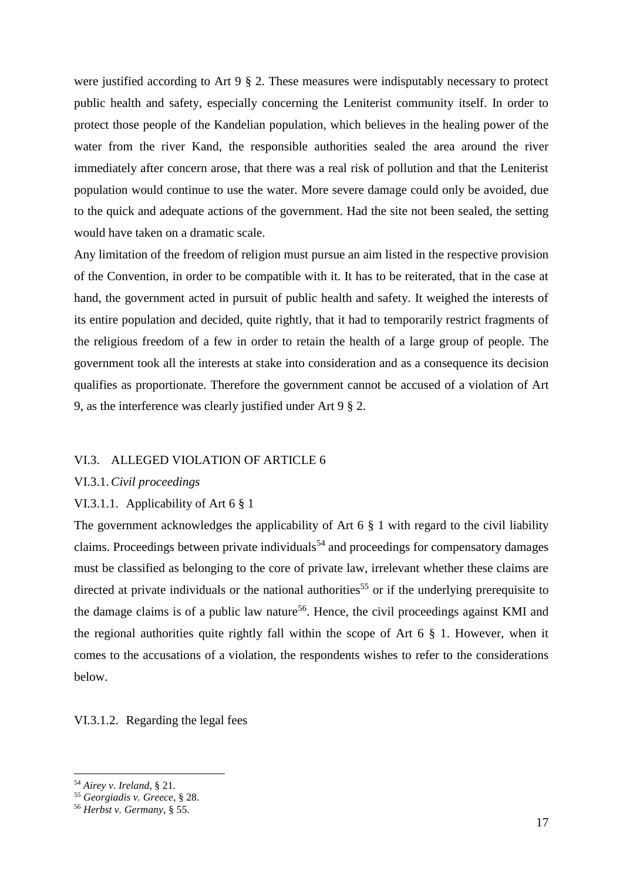were justified according to Art 9 § 2. These measures were indisputably necessary to protect public health and safety, especially concerning the Leniterist community itself. In order to protect those people of the Kandelian population, which believes in the healing power of the water from the river Kand, the responsible authorities sealed the area around the river immediately after concern arose, that there was a real risk of pollution and that the Leniterist population would continue to use the water. More severe damage could only be avoided, due to the quick and adequate actions of the government. Had the site not been sealed, the setting would have taken on a dramatic scale.

Any limitation of the freedom of religion must pursue an aim listed in the respective provision of the Convention, in order to be compatible with it. It has to be reiterated, that in the case at hand, the government acted in pursuit of public health and safety. It weighed the interests of its entire population and decided, quite rightly, that it had to temporarily restrict fragments of the religious freedom of a few in order to retain the health of a large group of people. The government took all the interests at stake into consideration and as a consequence its decision qualifies as proportionate. Therefore the government cannot be accused of a violation of Art 9, as the interference was clearly justified under Art 9 § 2.

### <span id="page-16-0"></span>VI.3. ALLEGED VIOLATION OF ARTICLE 6

#### <span id="page-16-1"></span>VI.3.1.*Civil proceedings*

#### <span id="page-16-2"></span>VI.3.1.1. Applicability of Art 6 § 1

The government acknowledges the applicability of Art 6  $\S$  1 with regard to the civil liability claims. Proceedings between private individuals<sup>54</sup> and proceedings for compensatory damages must be classified as belonging to the core of private law, irrelevant whether these claims are directed at private individuals or the national authorities<sup>55</sup> or if the underlying prerequisite to the damage claims is of a public law nature<sup>56</sup>. Hence, the civil proceedings against KMI and the regional authorities quite rightly fall within the scope of Art 6 § 1. However, when it comes to the accusations of a violation, the respondents wishes to refer to the considerations below.

<span id="page-16-3"></span>VI.3.1.2. Regarding the legal fees

 $\overline{a}$ 

<sup>54</sup> *Airey v. Ireland*, § 21.

<sup>55</sup> *Georgiadis v. Greece*, § 28.

<sup>56</sup> *Herbst v. Germany*, § 55.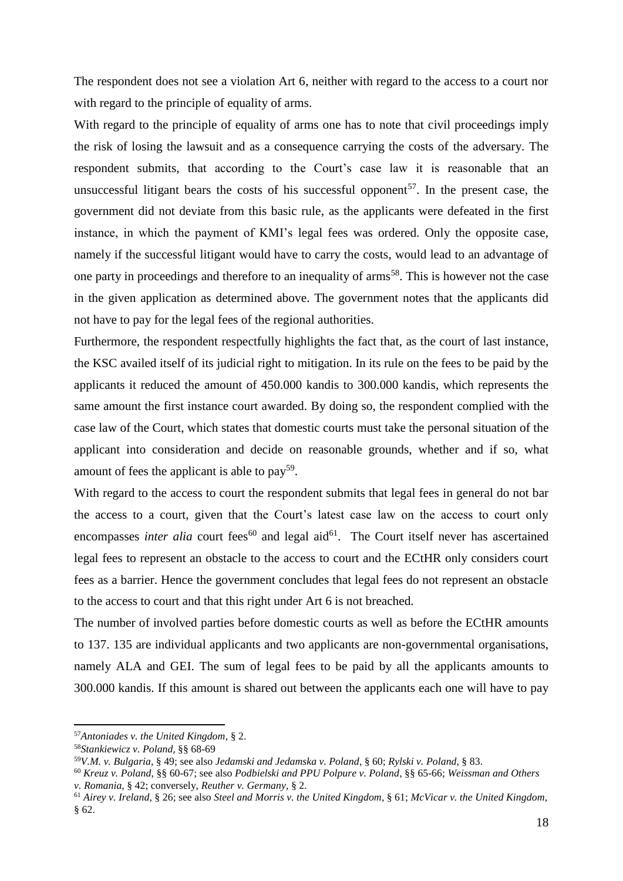The respondent does not see a violation Art 6, neither with regard to the access to a court nor with regard to the principle of equality of arms.

With regard to the principle of equality of arms one has to note that civil proceedings imply the risk of losing the lawsuit and as a consequence carrying the costs of the adversary. The respondent submits, that according to the Court's case law it is reasonable that an unsuccessful litigant bears the costs of his successful opponent<sup>57</sup>. In the present case, the government did not deviate from this basic rule, as the applicants were defeated in the first instance, in which the payment of KMI's legal fees was ordered. Only the opposite case, namely if the successful litigant would have to carry the costs, would lead to an advantage of one party in proceedings and therefore to an inequality of arms<sup>58</sup>. This is however not the case in the given application as determined above. The government notes that the applicants did not have to pay for the legal fees of the regional authorities.

Furthermore, the respondent respectfully highlights the fact that, as the court of last instance, the KSC availed itself of its judicial right to mitigation. In its rule on the fees to be paid by the applicants it reduced the amount of 450.000 kandis to 300.000 kandis, which represents the same amount the first instance court awarded. By doing so, the respondent complied with the case law of the Court, which states that domestic courts must take the personal situation of the applicant into consideration and decide on reasonable grounds, whether and if so, what amount of fees the applicant is able to pay<sup>59</sup>.

With regard to the access to court the respondent submits that legal fees in general do not bar the access to a court, given that the Court's latest case law on the access to court only encompasses *inter alia* court fees<sup>60</sup> and legal aid<sup>61</sup>. The Court itself never has ascertained legal fees to represent an obstacle to the access to court and the ECtHR only considers court fees as a barrier. Hence the government concludes that legal fees do not represent an obstacle to the access to court and that this right under Art 6 is not breached.

The number of involved parties before domestic courts as well as before the ECtHR amounts to 137. 135 are individual applicants and two applicants are non-governmental organisations, namely ALA and GEI. The sum of legal fees to be paid by all the applicants amounts to 300.000 kandis. If this amount is shared out between the applicants each one will have to pay

<sup>57</sup>*Antoniades v. the United Kingdom*, § 2.

<sup>58</sup>*Stankiewicz v. Poland*, §§ 68-69

<sup>59</sup>*V.M. v. Bulgaria*, § 49; see also *Jedamski and Jedamska v. Poland*, § 60; *Rylski v. Poland*, § 83.

<sup>60</sup> *Kreuz v. Poland*, §§ 60-67; see also *Podbielski and PPU Polpure v. Poland*, §§ 65-66; *Weissman and Others* 

*v. Romania*, § 42; conversely, *Reuther v. Germany*, § 2.

<sup>61</sup> *Airey v. Ireland*, § 26; see also *Steel and Morris v. the United Kingdom*, § 61; *McVicar v. the United Kingdom*, § 62.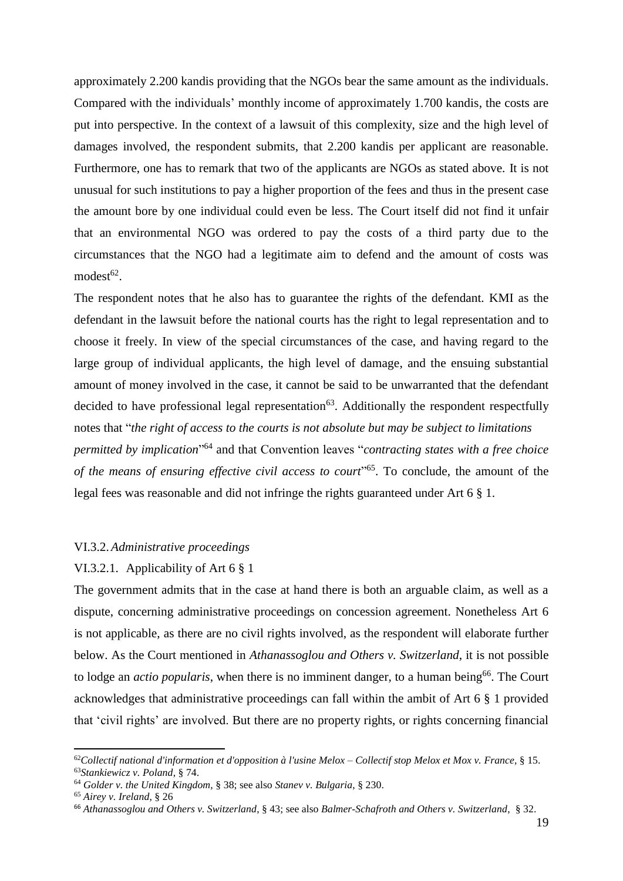approximately 2.200 kandis providing that the NGOs bear the same amount as the individuals. Compared with the individuals' monthly income of approximately 1.700 kandis, the costs are put into perspective. In the context of a lawsuit of this complexity, size and the high level of damages involved, the respondent submits, that 2.200 kandis per applicant are reasonable. Furthermore, one has to remark that two of the applicants are NGOs as stated above. It is not unusual for such institutions to pay a higher proportion of the fees and thus in the present case the amount bore by one individual could even be less. The Court itself did not find it unfair that an environmental NGO was ordered to pay the costs of a third party due to the circumstances that the NGO had a legitimate aim to defend and the amount of costs was  $\text{modest}^{62}$ .

The respondent notes that he also has to guarantee the rights of the defendant. KMI as the defendant in the lawsuit before the national courts has the right to legal representation and to choose it freely. In view of the special circumstances of the case, and having regard to the large group of individual applicants, the high level of damage, and the ensuing substantial amount of money involved in the case, it cannot be said to be unwarranted that the defendant decided to have professional legal representation<sup>63</sup>. Additionally the respondent respectfully notes that "*the right of access to the courts is not absolute but may be subject to limitations permitted by implication*" <sup>64</sup> and that Convention leaves "*contracting states with a free choice of the means of ensuring effective civil access to court*" <sup>65</sup>. To conclude, the amount of the legal fees was reasonable and did not infringe the rights guaranteed under Art 6 § 1.

#### <span id="page-18-0"></span>VI.3.2.*Administrative proceedings*

#### <span id="page-18-1"></span>VI.3.2.1. Applicability of Art 6 § 1

The government admits that in the case at hand there is both an arguable claim, as well as a dispute, concerning administrative proceedings on concession agreement. Nonetheless Art 6 is not applicable, as there are no civil rights involved, as the respondent will elaborate further below. As the Court mentioned in *Athanassoglou and Others v. Switzerland*, it is not possible to lodge an *actio popularis*, when there is no imminent danger, to a human being<sup>66</sup>. The Court acknowledges that administrative proceedings can fall within the ambit of Art 6 § 1 provided that 'civil rights' are involved. But there are no property rights, or rights concerning financial

<sup>62</sup>*Collectif national d'information et d'opposition à l'usine Melox – Collectif stop Melox et Mox v. France*, § 15. <sup>63</sup>*Stankiewicz v. Poland*, § 74.

<sup>64</sup> *Golder v. the United Kingdom*, § 38; see also *Stanev v. Bulgaria*, § 230.

<sup>65</sup> *Airey v. Ireland*, § 26

<sup>66</sup> *Athanassoglou and Others v. Switzerland*, § 43; see also *Balmer-Schafroth and Others v. Switzerland*, § 32.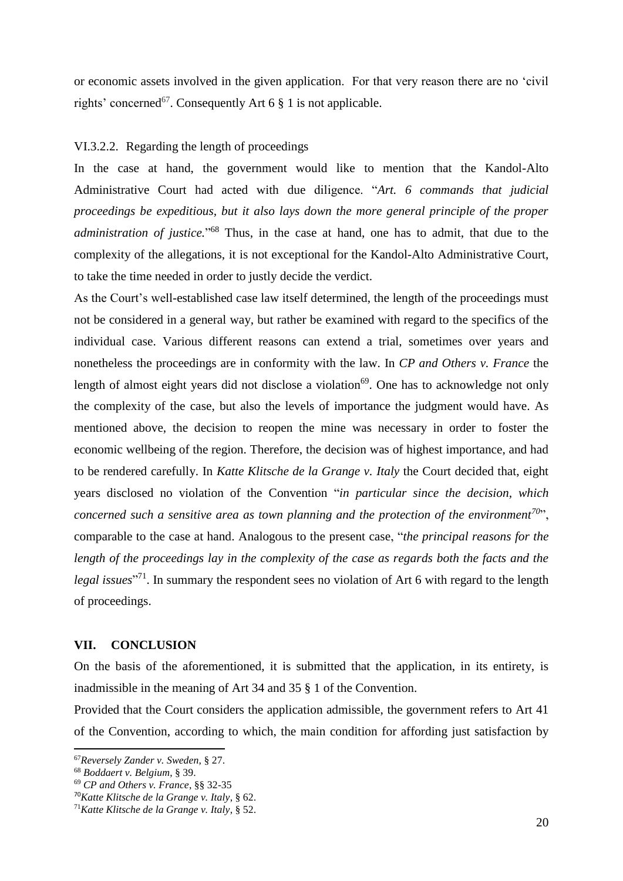or economic assets involved in the given application. For that very reason there are no 'civil rights' concerned<sup>67</sup>. Consequently Art  $6 \text{ } \$ 1$  is not applicable.

#### <span id="page-19-0"></span>VI.3.2.2. Regarding the length of proceedings

In the case at hand, the government would like to mention that the Kandol-Alto Administrative Court had acted with due diligence. "*Art. 6 commands that judicial proceedings be expeditious, but it also lays down the more general principle of the proper administration of justice.*" <sup>68</sup> Thus, in the case at hand, one has to admit, that due to the complexity of the allegations, it is not exceptional for the Kandol-Alto Administrative Court, to take the time needed in order to justly decide the verdict.

As the Court's well-established case law itself determined, the length of the proceedings must not be considered in a general way, but rather be examined with regard to the specifics of the individual case. Various different reasons can extend a trial, sometimes over years and nonetheless the proceedings are in conformity with the law. In *CP and Others v. France* the length of almost eight years did not disclose a violation<sup>69</sup>. One has to acknowledge not only the complexity of the case, but also the levels of importance the judgment would have. As mentioned above, the decision to reopen the mine was necessary in order to foster the economic wellbeing of the region. Therefore, the decision was of highest importance, and had to be rendered carefully. In *Katte Klitsche de la Grange v. Italy* the Court decided that, eight years disclosed no violation of the Convention "*in particular since the decision, which concerned such a sensitive area as town planning and the protection of the environment<sup>70</sup>*", comparable to the case at hand. Analogous to the present case, "*the principal reasons for the length of the proceedings lay in the complexity of the case as regards both the facts and the*  legal issues<sup>"71</sup>. In summary the respondent sees no violation of Art 6 with regard to the length of proceedings.

#### <span id="page-19-1"></span>**VII. CONCLUSION**

On the basis of the aforementioned, it is submitted that the application, in its entirety, is inadmissible in the meaning of Art 34 and 35 § 1 of the Convention.

Provided that the Court considers the application admissible, the government refers to Art 41 of the Convention, according to which, the main condition for affording just satisfaction by

<sup>67</sup>*Reversely Zander v. Sweden*, § 27.

<sup>68</sup> *Boddaert v. Belgium*, § 39.

<sup>69</sup> *CP and Others v. France*, §§ 32-35

<sup>70</sup>*Katte Klitsche de la Grange v. Italy*, § 62.

<sup>71</sup>*Katte Klitsche de la Grange v. Italy*, § 52.